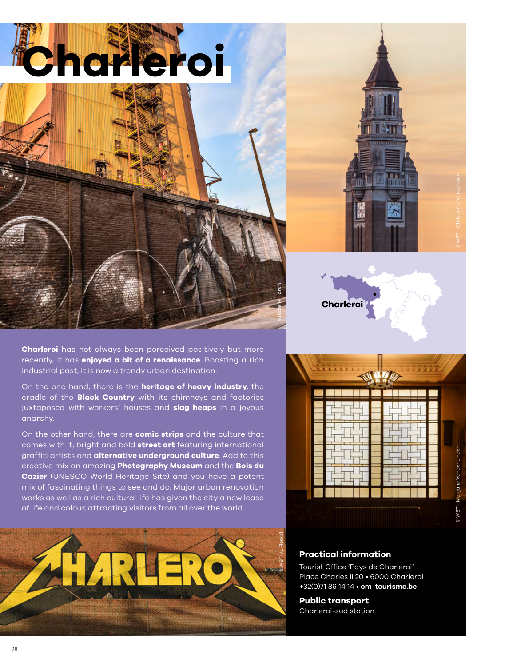



**Charleroi** has not always been perceived positively but more recently, it has **enjoyed a bit of a renaissance**. Boasting a rich industrial past, it is now a trendy urban destination.

On the one hand, there is the **heritage of heavy industry**, the cradle of the **Black Country** with its chimneys and factories juxtaposed with workers' houses and **slag heaps** in a joyous anarchy.

On the other hand, there are **comic strips** and the culture that comes with it, bright and bold **street art** featuring international graffiti artists and **alternative underground culture**. Add to this creative mix an amazing **Photography Museum** and the **Bois du Cazier** (UNESCO World Heritage Site) and you have a potent mix of fascinating things to see and do. Major urban renovation works as well as a rich cultural life has given the city a new lease of life and colour, attracting visitors from all over the world.









### **Practical information**

Tourist Office 'Pays de Charleroi' Place Charles II 20 • 6000 Charleroi +32(0)71 86 14 14 • **[cm-tourisme.be](https://www.cm-tourisme.be/)**

**Public transport**  Charleroi-sud station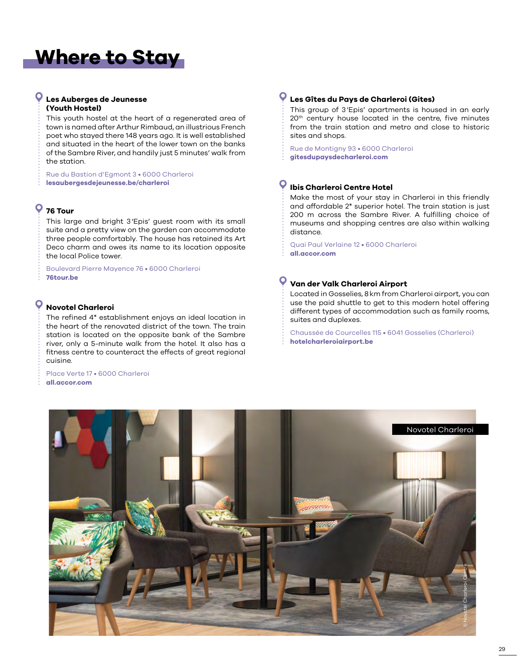# **Where to Stay**

#### **Les Auberges de Jeunesse (Youth Hostel)**

This youth hostel at the heart of a regenerated area of town is named after Arthur Rimbaud, an illustrious French poet who stayed there 148 years ago. It is well established and situated in the heart of the lower town on the banks of the Sambre River, and handily just 5 minutes' walk from the station.

Rue du Bastion d'Egmont 3 • 6000 Charleroi **[lesaubergesdejeunesse.be/charleroi](www.lesaubergesdejeunesse.be/charleroi)**

## **76 Tour**

This large and bright 3'Epis' guest room with its small suite and a pretty view on the garden can accommodate three people comfortably. The house has retained its Art Deco charm and owes its name to its location opposite the local Police tower.

Boulevard Pierre Mayence 76 • 6000 Charleroi **[76tour.be](www.76tour.be)**

#### O **Novotel Charleroi**

The refined 4\* establishment enjoys an ideal location in the heart of the renovated district of the town. The train station is located on the opposite bank of the Sambre river, only a 5-minute walk from the hotel. It also has a fitness centre to counteract the effects of great regional cuisine.

#### Place Verte 17 • 6000 Charleroi **[all.accor.com](www.all.accor.com/hotel)**

### **Les Gîtes du Pays de Charleroi (Gites)**

This group of 3'Epis' apartments is housed in an early 20th century house located in the centre, five minutes from the train station and metro and close to historic sites and shops.

Rue de Montigny 93 • 6000 Charleroi **[gitesdupaysdecharleroi.com](www.gitesdupaysdecharleroi.com)**

#### $\bullet$ **Ibis Charleroi Centre Hotel**

Make the most of your stay in Charleroi in this friendly and affordable 2\* superior hotel. The train station is just 200 m across the Sambre River. A fulfilling choice of museums and shopping centres are also within walking distance.

Quai Paul Verlaine 12 • 6000 Charleroi **[all.accor.com](www.all.accor.com)**

#### **Van der Valk Charleroi Airport**

Located in Gosselies, 8km from Charleroi airport, you can use the paid shuttle to get to this modern hotel offering different types of accommodation such as family rooms, suites and duplexes.

Chaussée de Courcelles 115 • 6041 Gosselies (Charleroi) **[hotelcharleroiairport.be](https://www.hotelcharleroiairport.be)**

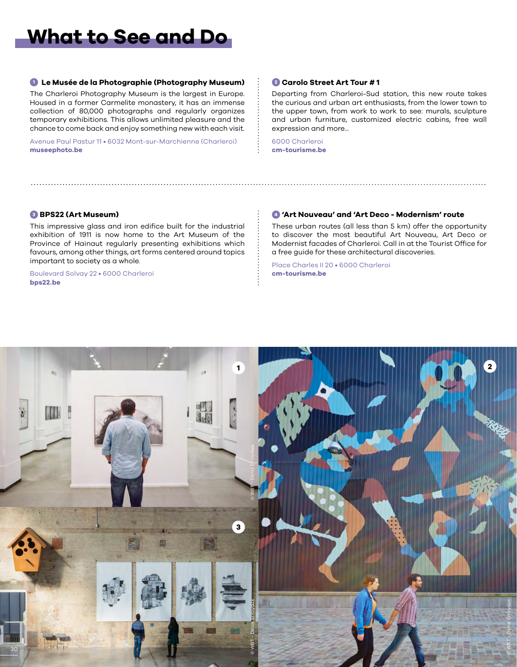# **What to See and Do**

#### **<sup>1</sup> Le Musée de la Photographie (Photography Museum)**

The Charleroi Photography Museum is the largest in Europe. Housed in a former Carmelite monastery, it has an immense collection of 80,000 photographs and regularly organizes temporary exhibitions. This allows unlimited pleasure and the chance to come back and enjoy something new with each visit.

Avenue Paul Pastur 11 • 6032 Mont-sur-Marchienne (Charleroi) **[museephoto.be](http://www.museephoto.be/)**

#### **<sup>2</sup> Carolo Street Art Tour # 1**

Departing from Charleroi-Sud station, this new route takes the curious and urban art enthusiasts, from the lower town to the upper town, from work to work to see: murals, sculpture and urban furniture, customized electric cabins, free wall expression and more...

6000 Charleroi **[cm-tourisme.be](https://www.cm-tourisme.be/fr/a/parcours-asphalte)**

#### **<sup>3</sup> BPS22 (Art Museum)**

This impressive glass and iron edifice built for the industrial exhibition of 1911 is now home to the Art Museum of the Province of Hainaut regularly presenting exhibitions which favours, among other things, art forms centered around topics important to society as a whole.

Boulevard Solvay 22 • 6000 Charleroi **[bps22.be](https://www.bps22.be/)**

#### **<sup>4</sup> 'Art Nouveau' and 'Art Deco - Modernism' route**

These urban routes (all less than 5 km) offer the opportunity to discover the most beautiful Art Nouveau, Art Deco or Modernist facades of Charleroi. Call in at the Tourist Office for a free guide for these architectural discoveries.

Place Charles II 20 • 6000 Charleroi **[cm-tourisme.be](https://www.cm-tourisme.be/)**